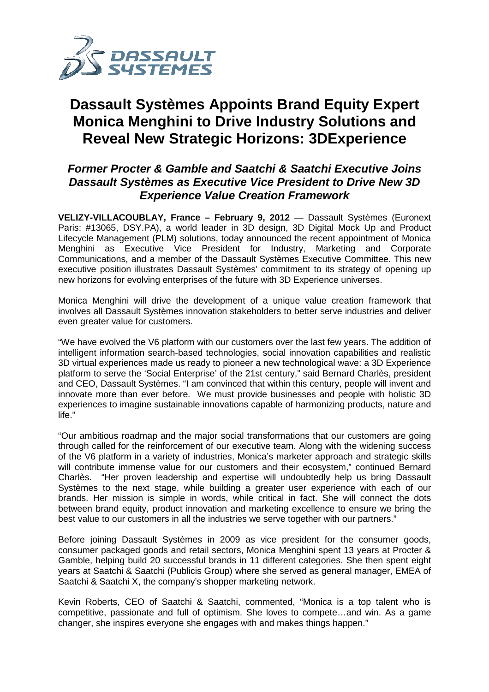

## **Dassault Systèmes Appoints Brand Equity Expert Monica Menghini to Drive Industry Solutions and Reveal New Strategic Horizons: 3DExperience**

## **Former Procter & Gamble and Saatchi & Saatchi Executive Joins Dassault Systèmes as Executive Vice President to Drive New 3D Experience Value Creation Framework**

VELIZY-VILLACOUBLAY, France - February 9, 2012 — Dassault Systèmes (Euronext Paris: #13065, DSY.PA), a world leader in 3D design, 3D Digital Mock Up and Product Lifecycle Management (PLM) solutions, today announced the recent appointment of Monica Menghini as Executive Vice President for Industry, Marketing and Corporate Communications, and a member of the Dassault Systèmes Executive Committee. This new executive position illustrates Dassault Systèmes' commitment to its strategy of opening up new horizons for evolving enterprises of the future with 3D Experience universes universes.

Monica Menghini will drive the development of a unique value creation framework that<br>involves all Dassault Systèmes innovation stakeholders to better serve industries and deliver involves all Dassault Systèmes innovation stakeholders to better serve industries and deliver even greater value for customers.

"We have evolved the V6 platform with our customers over the last few years. The addition of intelligent information search-based technologies, social innovation capabilities and realistic 3D virtual experiences made us ready to pioneer a new technological wave: a 3D Experience intelligent information search-based technologies, social innovation capabilities and realistic<br>3D virtual experiences made us ready to pioneer a new technological wave: a 3D Experience<br>platform to serve the 'Social Enterp and CEO, Dassault Systèmes. "I am convinced that within this century, people will invent and innovate more than ever before. We must provide businesses and people with holistic 3D experiences to imagine sustainable innovations capable of harmonizing products, nature and life."

"Our ambitious roadmap and the major social transformations that our customers are going through called for the reinforcement of our executive team. Along with the widening success through called for the reinforcement of our executive team. Along with the widening success<br>of the V6 platform in a variety of industries, Monica's marketer approach and strategic skills will contribute immense value for our customers and their ecosystem," continued Bernard Charlès. "Her proven leadership and expertise will undoubtedly help us bring Dassault Systèmes to the next stage, while building a greater user experience with each of our brands. Her mission is simple in words, while critical in fact. She will connect the dots between brand equity, product innovation and marketing excellence to ensure we bring the best value to our customers in all the industries we serve together with our partners." vide businesses and people with holistic 3D<br>capable of harmonizing products, nature and<br>ransformations that our customers are going<br>utive team. Along with the widening success<br>nica's marketer approach and strategic skills<br>

Before joining Dassault Systèmes in 2009 as vice president for the consumer goods, consumer packaged goods and retail sectors, Monica Menghini spent 13 years at Procter & Gamble, helping build 20 successful brands in 11 different categories. She then spent eight years at Saatchi & Saatchi (Publicis Group) where she served as general manager, EMEA of Saatchi & Saatchi X, the company's shopper marketing network.

Kevin Roberts, CEO of Saatchi & Saatchi, commented, "Monica is a top talent who is competitive, passionate and full of optimism. She loves to compete…and win. As a game changer, she inspires everyone she engages with and makes things happen."